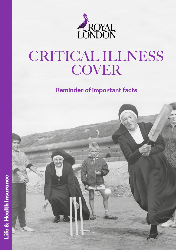

# CRITICAL ILLNESS **COVER**

**Reminder of important facts**

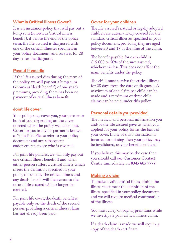#### **What is Critical Illness Cover?**

It is an insurance policy that will pay out a lump sum (known as 'critical illness benefit'), if before the end of the policy term, the life assured is diagnosed with one of the critical illnesses specified in your policy document, and survives for 28 days after the diagnosis.

#### **Payout if you die**

If the life assured dies during the term of the policy, we will pay out a lump sum (known as 'death benefit') of one year's premiums, providing there has been no payment of critical illness benefit.

#### **Joint life cover**

Your policy may cover you, your partner or both of you, depending on the cover selected when the policy was taken out. Cover for you and your partner is known as 'joint life'. Please refer to your policy document and any subsequent endorsements to see who is covered.

For joint life policies, we will only pay out one critical illness benefit if and when either person suffers a critical illness which meets the definition specified in your policy document. The critical illness and any death benefit will then cease so the second life assured will no longer be covered.

For joint life cover, the death benefit is payable only on the death of the second person, providing a critical illness claim has not already been paid.

#### **Cover for your children**

The life assured's natural or legally adopted children are automatically covered for the standard critical illnesses specified in your policy document, providing they are aged between 3 and 17 at the time of the claim.

The benefit payable for each child is  $£15,000$  or 50% of the sum assured, whichever is less. This does not affect the main benefits under the policy.

The child must survive the critical illness for 28 days from the date of diagnosis. A maximum of one claim per child can be made and a maximum of three child claims can be paid under this policy.

### **Personal details you provided**

The medical and personal information you and/or the life assured gave us when you applied for your policy forms the basis of your cover. If any of this information is incorrect or missing then your policy may be invalidated, or your benefits reduced.

If you believe this may be the case then you should call our Customer Contact Centre immediately on **0345 605 7777**.

#### **Making a claim**

To make a valid critical illness claim, the illness must meet the definition of the illness specified in your policy document and we will require medical confirmation of the illness.

You must carry on paying premiums while we investigate your critical illness claim.

If a death claim is made we will require a copy of the death certificate.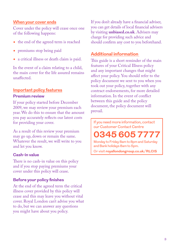#### **When your cover ends**

Cover under the policy will cease once one of the following happens:

- the end of the agreed term is reached
- premiums stop being paid
- a critical illness or death claim is paid.

In the event of a claim relating to a child, the main cover for the life assured remains unaffected.

#### **Important policy features**

#### **Premium review**

If your policy started before December 2009, we may review your premium each year. We do this to ensure that the amount you pay accurately reflects our latest costs for providing your cover.

As a result of this review your premium may go up, down or remain the same. Whatever the result, we will write to you and let you know.

#### **Cash-in value**

There is no cash-in value on this policy and if you stop paying premiums your cover under this policy will cease.

#### **Before your policy finishes**

At the end of the agreed term the critical illness cover provided by this policy will cease and this may leave you without vital cover. Royal London can't advise you what to do, but we can answer any questions you might have about you policy.

If you don't already have a financial adviser, you can get details of local financial advisers by visiting **[unbiased.co.uk](http://unbiased.co.uk)**. Advisers may charge for providing such advice and should confirm any cost to you beforehand.

## **Additional information**

This guide is a short reminder of the main features of your Critical Illness policy and any important changes that might affect your policy. You should refer to the policy document we sent to you when you took out your policy, together with any contract endorsements, for more detailed information. In the event of conflict between this guide and the policy document, the policy document will prevail.

If you need more information, contact our Customer Contact Centre

**0345 605 7777**

Monday to Friday 8am to 8pm and Saturday and Bank holidays 8am to 5pm.

Or visit **[royallondongroup.co.uk/RLCIS](http://www.royallondongroup.co.uk/RLCIS)**